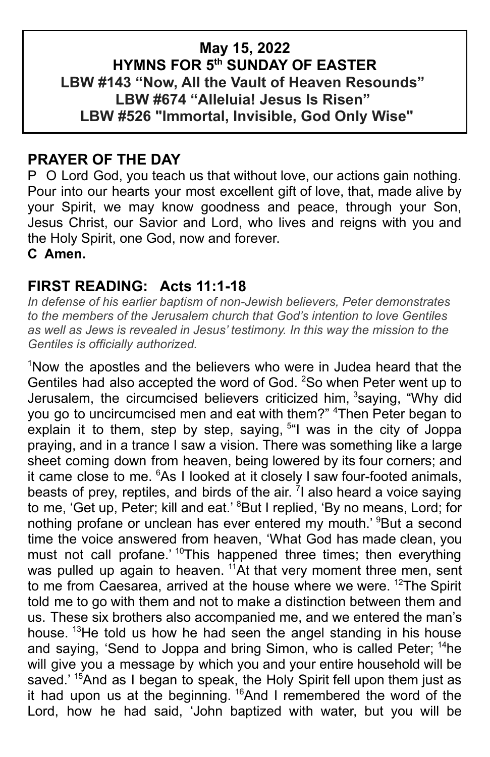### **May 15, 2022 HYMNS FOR 5th SUNDAY OF EASTER LBW #143 "Now, All the Vault of Heaven Resounds" LBW #674 "Alleluia! Jesus Is Risen" LBW #526 "Immortal, Invisible, God Only Wise"**

### **PRAYER OF THE DAY**

P O Lord God, you teach us that without love, our actions gain nothing. Pour into our hearts your most excellent gift of love, that, made alive by your Spirit, we may know goodness and peace, through your Son, Jesus Christ, our Savior and Lord, who lives and reigns with you and the Holy Spirit, one God, now and forever.

**C Amen.**

### **FIRST READING: Acts 11:1-18**

*In defense of his earlier baptism of non-Jewish believers, Peter demonstrates to the members of the Jerusalem church that God's intention to love Gentiles as well as Jews is revealed in Jesus' testimony. In this way the mission to the Gentiles is officially authorized.*

<sup>1</sup>Now the apostles and the believers who were in Judea heard that the Gentiles had also accepted the word of God. <sup>2</sup>So when Peter went up to Jerusalem, the circumcised believers criticized him, 3saying, "Why did you go to uncircumcised men and eat with them?" <sup>4</sup>Then Peter began to explain it to them, step by step, saying, 5 "I was in the city of Joppa praying, and in a trance I saw a vision. There was something like a large sheet coming down from heaven, being lowered by its four corners; and it came close to me. <sup>6</sup>As I looked at it closely I saw four-footed animals, beasts of prey, reptiles, and birds of the air. <sup>7</sup>I also heard a voice saying to me, 'Get up, Peter; kill and eat.' <sup>8</sup>But I replied, 'By no means, Lord; for nothing profane or unclean has ever entered my mouth.' <sup>9</sup>But a second time the voice answered from heaven, 'What God has made clean, you must not call profane.<sup>' 10</sup>This happened three times; then everything was pulled up again to heaven. <sup>11</sup>At that very moment three men, sent to me from Caesarea, arrived at the house where we were. <sup>12</sup>The Spirit told me to go with them and not to make a distinction between them and us. These six brothers also accompanied me, and we entered the man's house. <sup>13</sup>He told us how he had seen the angel standing in his house and saying, 'Send to Joppa and bring Simon, who is called Peter; <sup>14</sup>he will give you a message by which you and your entire household will be saved.' <sup>15</sup>And as I began to speak, the Holy Spirit fell upon them just as it had upon us at the beginning. <sup>16</sup>And I remembered the word of the Lord, how he had said, John baptized with water, but you will be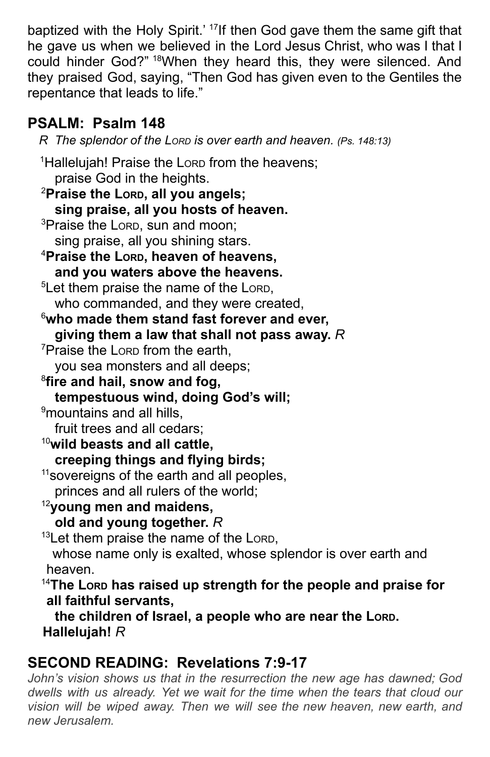baptized with the Holy Spirit.' <sup>17</sup>If then God gave them the same gift that he gave us when we believed in the Lord Jesus Christ, who was I that I could hinder God?" <sup>18</sup>When they heard this, they were silenced. And they praised God, saying, "Then God has given even to the Gentiles the repentance that leads to life."

# **PSALM: Psalm 148**

*R The splendor of the LORD is over earth and heaven. (Ps. 148:13)* <sup>1</sup>Hallelujah! Praise the Lorp from the heavens; praise God in the heights. <sup>2</sup>**Praise the LORD, all you angels; sing praise, all you hosts of heaven.** <sup>3</sup>Praise the Lorp, sun and moon: sing praise, all you shining stars. <sup>4</sup>**Praise the LORD, heaven of heavens, and you waters above the heavens.** <sup>5</sup>Let them praise the name of the LORD, who commanded, and they were created, <sup>6</sup>**who made them stand fast forever and ever, giving them a law that shall not pass away.** *R* <sup>7</sup>Praise the LORD from the earth, you sea monsters and all deeps; 8 **fire and hail, snow and fog, tempestuous wind, doing God's will;** <sup>9</sup>mountains and all hills. fruit trees and all cedars; <sup>10</sup>**wild beasts and all cattle, creeping things and flying birds;** <sup>11</sup> sovereigns of the earth and all peoples, princes and all rulers of the world; <sup>12</sup>**young men and maidens, old and young together.** *R* <sup>13</sup>Let them praise the name of the LORD, whose name only is exalted, whose splendor is over earth and heaven. <sup>14</sup>**The LORD has raised up strength for the people and praise for all faithful servants, the children of Israel, a people who are near the LORD. Hallelujah!** *R*

# **SECOND READING: Revelations 7:9-17**

*John's vision shows us that in the resurrection the new age has dawned; God dwells with us already. Yet we wait for the time when the tears that cloud our vision will be wiped away. Then we will see the new heaven, new earth, and new Jerusalem.*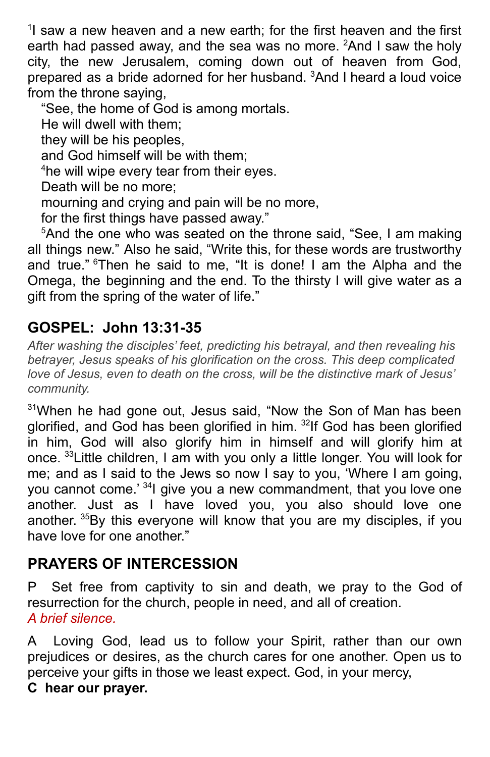<sup>1</sup>I saw a new heaven and a new earth; for the first heaven and the first earth had passed away, and the sea was no more. <sup>2</sup>And I saw the holy city, the new Jerusalem, coming down out of heaven from God, prepared as a bride adorned for her husband. <sup>3</sup>And I heard a loud voice from the throne saying,

"See, the home of God is among mortals.

He will dwell with them;

they will be his peoples,

and God himself will be with them;

<sup>4</sup>he will wipe every tear from their eyes.

Death will be no more;

mourning and crying and pain will be no more,

for the first things have passed away."

<sup>5</sup>And the one who was seated on the throne said, "See, I am making all things new." Also he said, "Write this, for these words are trustworthy and true." <sup>6</sup>Then he said to me, "It is done! I am the Alpha and the Omega, the beginning and the end. To the thirsty I will give water as a gift from the spring of the water of life."

## **GOSPEL: John 13:31-35**

*After washing the disciples' feet, predicting his betrayal, and then revealing his betrayer, Jesus speaks of his glorification on the cross. This deep complicated love of Jesus, even to death on the cross, will be the distinctive mark of Jesus' community.*

<sup>31</sup>When he had gone out, Jesus said, "Now the Son of Man has been glorified, and God has been glorified in him. <sup>32</sup>lf God has been glorified in him, God will also glorify him in himself and will glorify him at once. <sup>33</sup>Little children, I am with you only a little longer. You will look for me; and as I said to the Jews so now I say to you, 'Where I am going, you cannot come.<sup>' 34</sup>l give you a new commandment, that you love one another. Just as I have loved you, you also should love one another. <sup>35</sup>By this everyone will know that you are my disciples, if you have love for one another."

# **PRAYERS OF INTERCESSION**

P Set free from captivity to sin and death, we pray to the God of resurrection for the church, people in need, and all of creation. *A brief silence.*

A Loving God, lead us to follow your Spirit, rather than our own prejudices or desires, as the church cares for one another. Open us to perceive your gifts in those we least expect. God, in your mercy,

#### **C hear our prayer.**